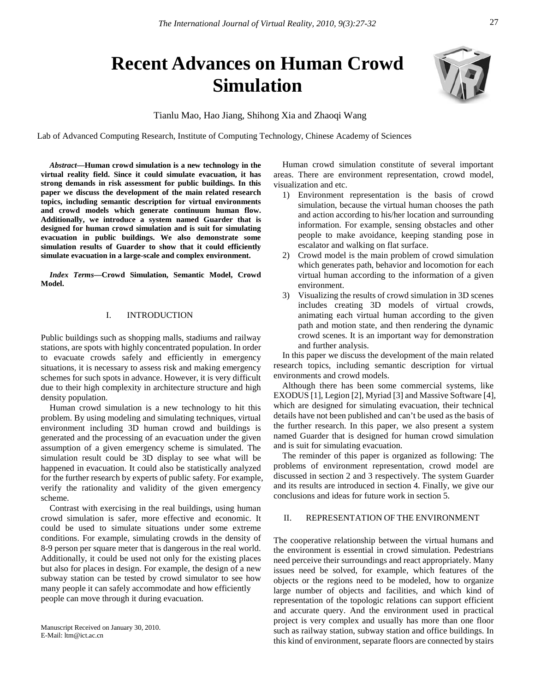# **Recent Advances on Human Crowd Simulation**

Tianlu Mao, Hao Jiang, Shihong Xia and Zhaoqi Wang

Lab of Advanced Computing Research, Institute of Computing Technology, Chinese Academy of Sciences

*Abstract***—Human crowd simulation is a new technology in the virtual reality field. Since it could simulate evacuation, it has strong demands in risk assessment for public buildings. In this paper we discuss the development of the main related research topics, including semantic description for virtual environments and crowd models which generate continuum human flow. Additionally, we introduce a system named Guarder that is designed for human crowd simulation and is suit for simulating evacuation in public buildings. We also demonstrate some simulation results of Guarder to show that it could efficiently simulate evacuation in a large-scale and complex environment.**

*Index Terms***—Crowd Simulation, Semantic Model, Crowd Model.** 

# I. INTRODUCTION

Public buildings such as shopping malls, stadiums and railway stations, are spots with highly concentrated population. In order to evacuate crowds safely and efficiently in emergency situations, it is necessary to assess risk and making emergency schemes for such spots in advance. However, it is very difficult due to their high complexity in architecture structure and high density population.

Human crowd simulation is a new technology to hit this problem. By using modeling and simulating techniques, virtual environment including 3D human crowd and buildings is generated and the processing of an evacuation under the given assumption of a given emergency scheme is simulated. The simulation result could be 3D display to see what will be happened in evacuation. It could also be statistically analyzed for the further research by experts of public safety. For example, verify the rationality and validity of the given emergency scheme.

Contrast with exercising in the real buildings, using human crowd simulation is safer, more effective and economic. It could be used to simulate situations under some extreme conditions. For example, simulating crowds in the density of 8-9 person per square meter that is dangerous in the real world. Additionally, it could be used not only for the existing places but also for places in design. For example, the design of a new subway station can be tested by crowd simulator to see how many people it can safely accommodate and how efficiently people can move through it during evacuation.

Human crowd simulation constitute of several important areas. There are environment representation, crowd model, visualization and etc.

- 1) Environment representation is the basis of crowd simulation, because the virtual human chooses the path and action according to his/her location and surrounding information. For example, sensing obstacles and other people to make avoidance, keeping standing pose in escalator and walking on flat surface.
- 2) Crowd model is the main problem of crowd simulation which generates path, behavior and locomotion for each virtual human according to the information of a given environment.
- 3) Visualizing the results of crowd simulation in 3D scenes includes creating 3D models of virtual crowds, animating each virtual human according to the given path and motion state, and then rendering the dynamic crowd scenes. It is an important way for demonstration and further analysis.

In this paper we discuss the development of the main related research topics, including semantic description for virtual environments and crowd models.

Although there has been some commercial systems, like EXODUS [1], Legion [2], Myriad [3] and Massive Software [4], which are designed for simulating evacuation, their technical details have not been published and can't be used as the basis of the further research. In this paper, we also present a system named Guarder that is designed for human crowd simulation and is suit for simulating evacuation.

The reminder of this paper is organized as following: The problems of environment representation, crowd model are discussed in section 2 and 3 respectively. The system Guarder and its results are introduced in section 4. Finally, we give our conclusions and ideas for future work in section 5.

# II. REPRESENTATION OF THE ENVIRONMENT

The cooperative relationship between the virtual humans and the environment is essential in crowd simulation. Pedestrians need perceive their surroundings and react appropriately. Many issues need be solved, for example, which features of the objects or the regions need to be modeled, how to organize large number of objects and facilities, and which kind of representation of the topologic relations can support efficient and accurate query. And the environment used in practical project is very complex and usually has more than one floor such as railway station, subway station and office buildings. In this kind of environment, separate floors are connected by stairs

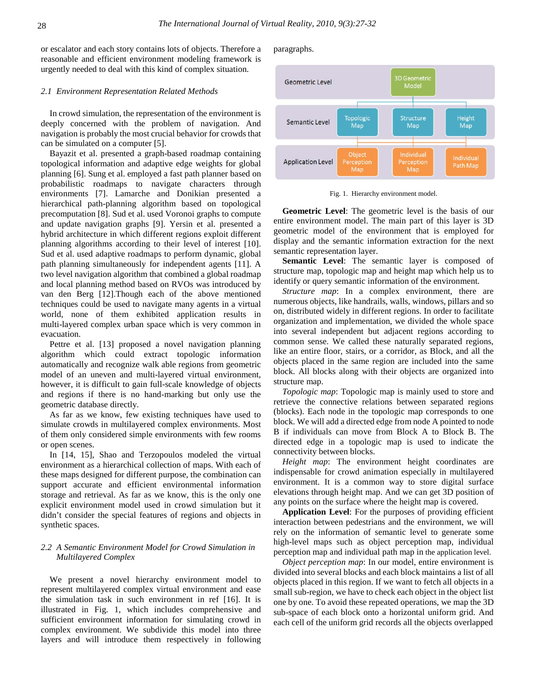or escalator and each story contains lots of objects. Therefore a reasonable and efficient environment modeling framework is urgently needed to deal with this kind of complex situation.

#### *2.1 Environment Representation Related Methods*

In crowd simulation, the representation of the environment is deeply concerned with the problem of navigation. And navigation is probably the most crucial behavior for crowds that can be simulated on a computer [5].

Bayazit et al. presented a graph-based roadmap containing topological information and adaptive edge weights for global planning [6]. Sung et al. employed a fast path planner based on probabilistic roadmaps to navigate characters through environments [7]. Lamarche and Donikian presented a hierarchical path-planning algorithm based on topological precomputation [8]. Sud et al. used Voronoi graphs to compute and update navigation graphs [9]. Yersin et al. presented a hybrid architecture in which different regions exploit different planning algorithms according to their level of interest [10]. Sud et al. used adaptive roadmaps to perform dynamic, global path planning simultaneously for independent agents [11]. A two level navigation algorithm that combined a global roadmap and local planning method based on RVOs was introduced by van den Berg [12].Though each of the above mentioned techniques could be used to navigate many agents in a virtual world, none of them exhibited application results in multi-layered complex urban space which is very common in evacuation.

Pettre et al. [13] proposed a novel navigation planning algorithm which could extract topologic information automatically and recognize walk able regions from geometric model of an uneven and multi-layered virtual environment, however, it is difficult to gain full-scale knowledge of objects and regions if there is no hand-marking but only use the geometric database directly.

As far as we know, few existing techniques have used to simulate crowds in multilayered complex environments. Most of them only considered simple environments with few rooms or open scenes.

In [14, 15], Shao and Terzopoulos modeled the virtual environment as a hierarchical collection of maps. With each of these maps designed for different purpose, the combination can support accurate and efficient environmental information storage and retrieval. As far as we know, this is the only one explicit environment model used in crowd simulation but it didn't consider the special features of regions and objects in synthetic spaces.

# *2.2 A Semantic Environment Model for Crowd Simulation in Multilayered Complex*

We present a novel hierarchy environment model to represent multilayered complex virtual environment and ease the simulation task in such environment in ref [16]. It is illustrated in Fig. 1, which includes comprehensive and sufficient environment information for simulating crowd in complex environment. We subdivide this model into three layers and will introduce them respectively in following

paragraphs.



Fig. 1. Hierarchy environment model.

**Geometric Level**: The geometric level is the basis of our entire environment model. The main part of this layer is 3D geometric model of the environment that is employed for display and the semantic information extraction for the next semantic representation layer.

**Semantic Level**: The semantic layer is composed of structure map, topologic map and height map which help us to identify or query semantic information of the environment.

*Structure map*: In a complex environment, there are numerous objects, like handrails, walls, windows, pillars and so on, distributed widely in different regions. In order to facilitate organization and implementation, we divided the whole space into several independent but adjacent regions according to common sense. We called these naturally separated regions, like an entire floor, stairs, or a corridor, as Block, and all the objects placed in the same region are included into the same block. All blocks along with their objects are organized into structure map.

*Topologic map*: Topologic map is mainly used to store and retrieve the connective relations between separated regions (blocks). Each node in the topologic map corresponds to one block. We will add a directed edge from node A pointed to node B if individuals can move from Block A to Block B. The directed edge in a topologic map is used to indicate the connectivity between blocks.

*Height map*: The environment height coordinates are indispensable for crowd animation especially in multilayered environment. It is a common way to store digital surface elevations through height map. And we can get 3D position of any points on the surface where the height map is covered.

**Application Level**: For the purposes of providing efficient interaction between pedestrians and the environment, we will rely on the information of semantic level to generate some high-level maps such as object perception map, individual perception map and individual path map in the application level.

*Object perception map*: In our model, entire environment is divided into several blocks and each block maintains a list of all objects placed in this region. If we want to fetch all objects in a small sub-region, we have to check each object in the object list one by one. To avoid these repeated operations, we map the 3D sub-space of each block onto a horizontal uniform grid. And each cell of the uniform grid records all the objects overlapped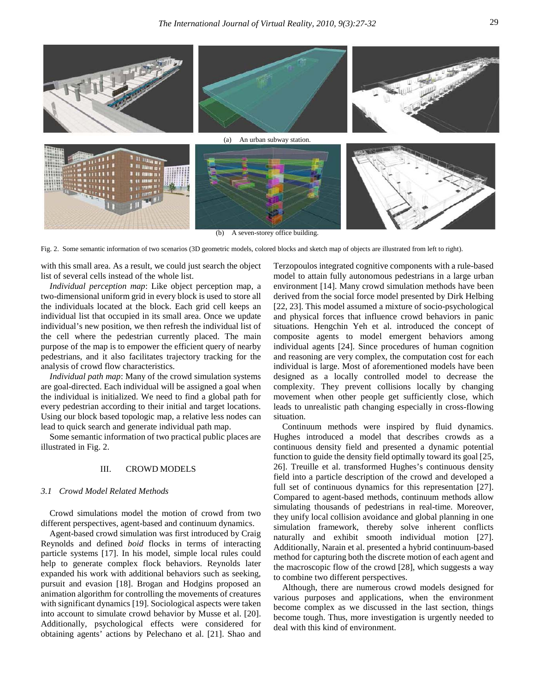

(b) A seven-storey office building.

Fig. 2. Some semantic information of two scenarios (3D geometric models, colored blocks and sketch map of objects are illustrated from left to right).

with this small area. As a result, we could just search the object list of several cells instead of the whole list.

*Individual perception map*: Like object perception map, a two-dimensional uniform grid in every block is used to store all the individuals located at the block. Each grid cell keeps an individual list that occupied in its small area. Once we update individual's new position, we then refresh the individual list of the cell where the pedestrian currently placed. The main purpose of the map is to empower the efficient query of nearby pedestrians, and it also facilitates trajectory tracking for the analysis of crowd flow characteristics.

*Individual path map*: Many of the crowd simulation systems are goal-directed. Each individual will be assigned a goal when the individual is initialized. We need to find a global path for every pedestrian according to their initial and target locations. Using our block based topologic map, a relative less nodes can lead to quick search and generate individual path map.

Some semantic information of two practical public places are illustrated in Fig. 2.

## III. CROWD MODELS

## *3.1 Crowd Model Related Methods*

Crowd simulations model the motion of crowd from two different perspectives, agent-based and continuum dynamics.

Agent-based crowd simulation was first introduced by Craig Reynolds and defined *boid* flocks in terms of interacting particle systems [17]. In his model, simple local rules could help to generate complex flock behaviors. Reynolds later expanded his work with additional behaviors such as seeking, pursuit and evasion [18]. Brogan and Hodgins proposed an animation algorithm for controlling the movements of creatures with significant dynamics [19]. Sociological aspects were taken into account to simulate crowd behavior by Musse et al. [20]. Additionally, psychological effects were considered for obtaining agents' actions by Pelechano et al. [21]. Shao and

Terzopoulos integrated cognitive components with a rule-based model to attain fully autonomous pedestrians in a large urban environment [14]. Many crowd simulation methods have been derived from the social force model presented by Dirk Helbing [22, 23]. This model assumed a mixture of socio-psychological and physical forces that influence crowd behaviors in panic situations. Hengchin Yeh et al. introduced the concept of composite agents to model emergent behaviors among individual agents [24]. Since procedures of human cognition and reasoning are very complex, the computation cost for each individual is large. Most of aforementioned models have been designed as a locally controlled model to decrease the complexity. They prevent collisions locally by changing movement when other people get sufficiently close, which leads to unrealistic path changing especially in cross-flowing situation.

Continuum methods were inspired by fluid dynamics. Hughes introduced a model that describes crowds as a continuous density field and presented a dynamic potential function to guide the density field optimally toward its goal [25, 26]. Treuille et al. transformed Hughes's continuous density field into a particle description of the crowd and developed a full set of continuous dynamics for this representation [27]. Compared to agent-based methods, continuum methods allow simulating thousands of pedestrians in real-time. Moreover, they unify local collision avoidance and global planning in one simulation framework, thereby solve inherent conflicts naturally and exhibit smooth individual motion [27]. Additionally, Narain et al. presented a hybrid continuum-based method for capturing both the discrete motion of each agent and the macroscopic flow of the crowd [28], which suggests a way to combine two different perspectives.

Although, there are numerous crowd models designed for various purposes and applications, when the environment become complex as we discussed in the last section, things become tough. Thus, more investigation is urgently needed to deal with this kind of environment.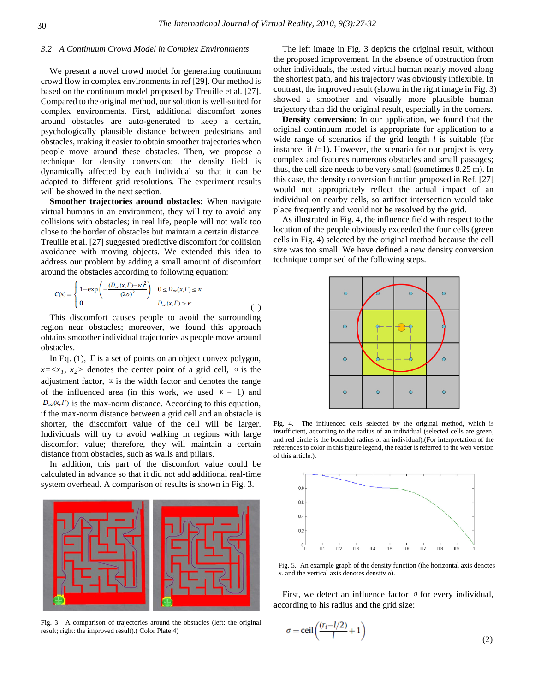# *3.2 A Continuum Crowd Model in Complex Environments*

We present a novel crowd model for generating continuum crowd flow in complex environments in ref [29]. Our method is based on the continuum model proposed by Treuille et al. [27]. Compared to the original method, our solution is well-suited for complex environments. First, additional discomfort zones around obstacles are auto-generated to keep a certain, psychologically plausible distance between pedestrians and obstacles, making it easier to obtain smoother trajectories when people move around these obstacles. Then, we propose a technique for density conversion; the density field is dynamically affected by each individual so that it can be adapted to different grid resolutions. The experiment results will be showed in the next section.

**Smoother trajectories around obstacles:** When navigate virtual humans in an environment, they will try to avoid any collisions with obstacles; in real life, people will not walk too close to the border of obstacles but maintain a certain distance. Treuille et al. [27] suggested predictive discomfort for collision avoidance with moving objects. We extended this idea to address our problem by adding a small amount of discomfort around the obstacles according to following equation:

$$
C(x) = \begin{cases} 1 - \exp\left(-\frac{(D_{\infty}(x, \Gamma) - \kappa)^2}{(2\sigma)^2}\right) & 0 \le D_{\infty}(x, \Gamma) \le \kappa \\ 0 & D_{\infty}(x, \Gamma) > \kappa \end{cases}
$$
(1)

This discomfort causes people to avoid the surrounding region near obstacles; moreover, we found this approach obtains smoother individual trajectories as people move around obstacles.

In Eq.  $(1)$ ,  $\Gamma$  is a set of points on an object convex polygon,  $x = \langle x_1, x_2 \rangle$  denotes the center point of a grid cell,  $\sigma$  is the adjustment factor,  $\kappa$  is the width factor and denotes the range of the influenced area (in this work, we used  $\kappa = 1$ ) and  $D_{\infty}(x,\Gamma)$  is the max-norm distance. According to this equation, if the max-norm distance between a grid cell and an obstacle is shorter, the discomfort value of the cell will be larger. Individuals will try to avoid walking in regions with large discomfort value; therefore, they will maintain a certain distance from obstacles, such as walls and pillars.

In addition, this part of the discomfort value could be calculated in advance so that it did not add additional real-time system overhead. A comparison of results is shown in Fig. 3.



Fig. 3. A comparison of trajectories around the obstacles (left: the original result; right: the improved result).( Color Plate 4)

The left image in Fig. 3 depicts the original result, without the proposed improvement. In the absence of obstruction from other individuals, the tested virtual human nearly moved along the shortest path, and his trajectory was obviously inflexible. In contrast, the improved result (shown in the right image in Fig. 3) showed a smoother and visually more plausible human trajectory than did the original result, especially in the corners.

**Density conversion**: In our application, we found that the original continuum model is appropriate for application to a wide range of scenarios if the grid length *l* is suitable (for instance, if  $l=1$ ). However, the scenario for our project is very complex and features numerous obstacles and small passages; thus, the cell size needs to be very small (sometimes 0.25 m). In this case, the density conversion function proposed in Ref. [27] would not appropriately reflect the actual impact of an individual on nearby cells, so artifact intersection would take place frequently and would not be resolved by the grid.

As illustrated in Fig. 4, the influence field with respect to the location of the people obviously exceeded the four cells (green cells in Fig. 4) selected by the original method because the cell size was too small. We have defined a new density conversion technique comprised of the following steps.



Fig. 4. The influenced cells selected by the original method, which is insufficient, according to the radius of an individual (selected cells are green, and red circle is the bounded radius of an individual).(For interpretation of the references to color in this figure legend, the reader is referred to the web version of this article.).



Fig. 5. An example graph of the density function (the horizontal axis denotes *x*, and the vertical axis denotes density ρ).

First, we detect an influence factor  $\sigma$  for every individual, according to his radius and the grid size:

$$
\sigma = \text{ceil}\left(\frac{(r_i - l/2)}{l} + 1\right) \tag{2}
$$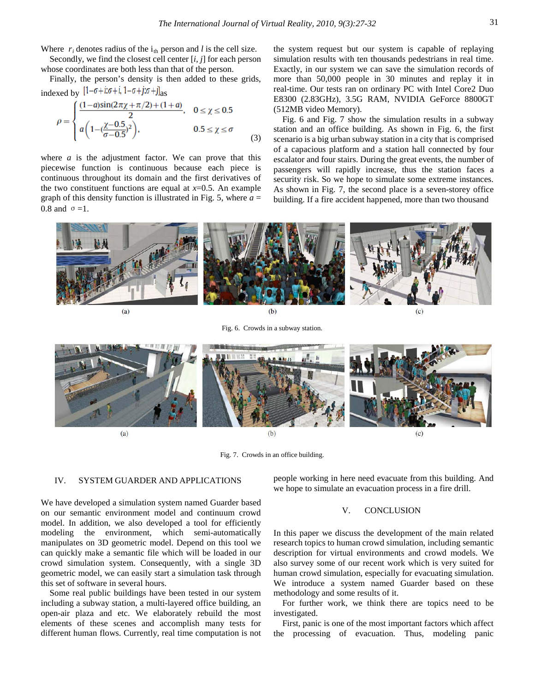Where  $r_i$  denotes radius of the  $i_{th}$  person and *l* is the cell size.

Secondly, we find the closest cell center [*i, j*] for each person whose coordinates are both less than that of the person.

Finally, the person's density is then added to these grids, indexed by  $[1-\sigma+i\sigma+i, 1-\sigma+j\sigma+j]_{\text{as}}$ 

$$
\rho = \begin{cases}\n\frac{(1-a)\sin(2\pi\chi + \pi/2) + (1+a)}{2}, & 0 \le \chi \le 0.5 \\
a\left(1 - \left(\frac{\chi - 0.5}{\sigma - 0.5}\right)^2\right), & 0.5 \le \chi \le \sigma\n\end{cases}
$$
\n(3)

where  $a$  is the adjustment factor. We can prove that this piecewise function is continuous because each piece is continuous throughout its domain and the first derivatives of the two constituent functions are equal at  $x=0.5$ . An example graph of this density function is illustrated in Fig. 5, where  $a =$ 0.8 and  $\sigma = 1$ .

the system request but our system is capable of replaying simulation results with ten thousands pedestrians in real time. Exactly, in our system we can save the simulation records of more than 50,000 people in 30 minutes and replay it in real-time. Our tests ran on ordinary PC with Intel Core2 Duo E8300 (2.83GHz), 3.5G RAM, NVIDIA GeForce 8800GT (512MB video Memory).

Fig. 6 and Fig. 7 show the simulation results in a subway station and an office building. As shown in Fig. 6, the first scenario is a big urban subway station in a city that is comprised of a capacious platform and a station hall connected by four escalator and four stairs. During the great events, the number of passengers will rapidly increase, thus the station faces a security risk. So we hope to simulate some extreme instances. As shown in Fig. 7, the second place is a seven-storey office building. If a fire accident happened, more than two thousand

 $(a)$  $(h)$  $(c)$ 

Fig. 6. Crowds in a subway station.



Fig. 7. Crowds in an office building.

### IV. SYSTEM GUARDER AND APPLICATIONS

We have developed a simulation system named Guarder based on our semantic environment model and continuum crowd model. In addition, we also developed a tool for efficiently modeling the environment, which semi-automatically manipulates on 3D geometric model. Depend on this tool we can quickly make a semantic file which will be loaded in our crowd simulation system. Consequently, with a single 3D geometric model, we can easily start a simulation task through this set of software in several hours.

Some real public buildings have been tested in our system including a subway station, a multi-layered office building, an open-air plaza and etc. We elaborately rebuild the most elements of these scenes and accomplish many tests for different human flows. Currently, real time computation is not people working in here need evacuate from this building. And we hope to simulate an evacuation process in a fire drill.

## V. CONCLUSION

In this paper we discuss the development of the main related research topics to human crowd simulation, including semantic description for virtual environments and crowd models. We also survey some of our recent work which is very suited for human crowd simulation, especially for evacuating simulation. We introduce a system named Guarder based on these methodology and some results of it.

For further work, we think there are topics need to be investigated.

First, panic is one of the most important factors which affect the processing of evacuation. Thus, modeling panic